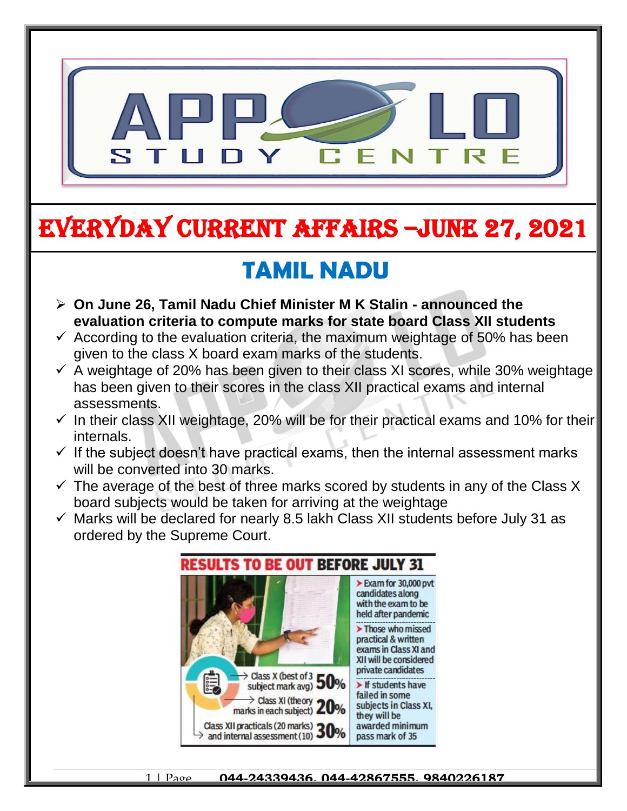

## EVERYDAY CURRENT AFFAIRS –jUNE 27, 2021

## **TAMIL NADU**

 **On June 26, Tamil Nadu Chief Minister M K Stalin - announced the evaluation criteria to compute marks for state board Class XII students** 

-

- $\checkmark$  According to the evaluation criteria, the maximum weightage of 50% has been given to the class X board exam marks of the students.
- $\checkmark$  A weightage of 20% has been given to their class XI scores, while 30% weightage has been given to their scores in the class XII practical exams and internal assessments.
- $\checkmark$  In their class XII weightage, 20% will be for their practical exams and 10% for their internals.
- $\checkmark$  If the subject doesn't have practical exams, then the internal assessment marks will be converted into 30 marks.
- $\checkmark$  The average of the best of three marks scored by students in any of the Class X board subjects would be taken for arriving at the weightage
- $\checkmark$  Marks will be declared for nearly 8.5 lakh Class XII students before July 31 as ordered by the Supreme Court.

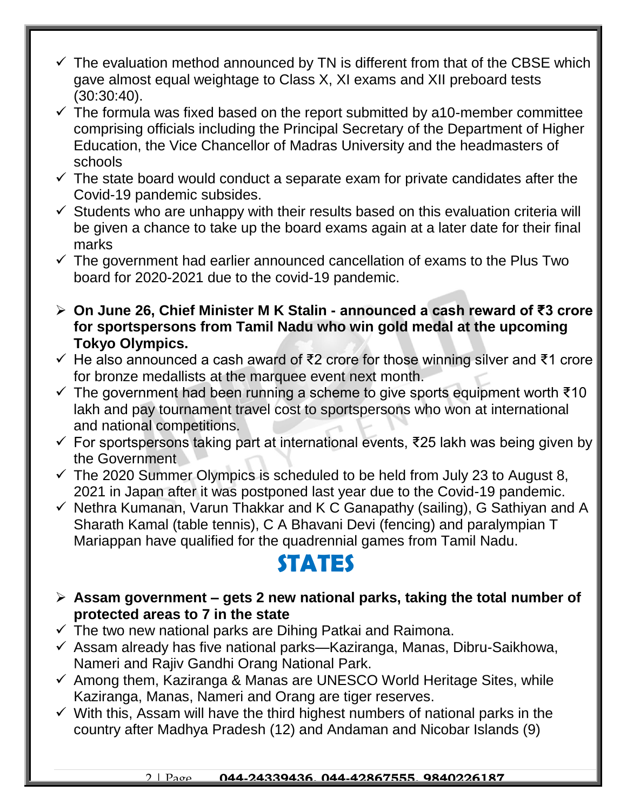- $\checkmark$  The evaluation method announced by TN is different from that of the CBSE which gave almost equal weightage to Class X, XI exams and XII preboard tests (30:30:40).
- $\checkmark$  The formula was fixed based on the report submitted by a10-member committee comprising officials including the Principal Secretary of the Department of Higher Education, the Vice Chancellor of Madras University and the headmasters of schools
- $\checkmark$  The state board would conduct a separate exam for private candidates after the Covid-19 pandemic subsides.
- $\checkmark$  Students who are unhappy with their results based on this evaluation criteria will be given a chance to take up the board exams again at a later date for their final marks
- $\checkmark$  The government had earlier announced cancellation of exams to the Plus Two board for 2020-2021 due to the covid-19 pandemic.
- **On June 26, Chief Minister M K Stalin - announced a cash reward of ₹3 crore for sportspersons from Tamil Nadu who win gold medal at the upcoming Tokyo Olympics.**
- He also announced a cash award of ₹2 crore for those winning silver and ₹1 crore for bronze medallists at the marquee event next month.
- $\checkmark$  The government had been running a scheme to give sports equipment worth  $\checkmark$ 10 lakh and pay tournament travel cost to sportspersons who won at international and national competitions.
- For sportspersons taking part at international events, ₹25 lakh was being given by the Government
- $\checkmark$  The 2020 Summer Olympics is scheduled to be held from July 23 to August 8, 2021 in Japan after it was postponed last year due to the Covid-19 pandemic.
- $\checkmark$  Nethra Kumanan, Varun Thakkar and K C Ganapathy (sailing), G Sathiyan and A Sharath Kamal (table tennis), C A Bhavani Devi (fencing) and paralympian T Mariappan have qualified for the quadrennial games from Tamil Nadu.

### **STATES**

- **Assam government – gets 2 new national parks, taking the total number of protected areas to 7 in the state**
- $\checkmark$  The two new national parks are Dihing Patkai and Raimona.
- $\checkmark$  Assam already has five national parks—Kaziranga, Manas, Dibru-Saikhowa, Nameri and Rajiv Gandhi Orang National Park.
- $\checkmark$  Among them, Kaziranga & Manas are UNESCO World Heritage Sites, while Kaziranga, Manas, Nameri and Orang are tiger reserves.
- $\checkmark$  With this, Assam will have the third highest numbers of national parks in the country after Madhya Pradesh (12) and Andaman and Nicobar Islands (9)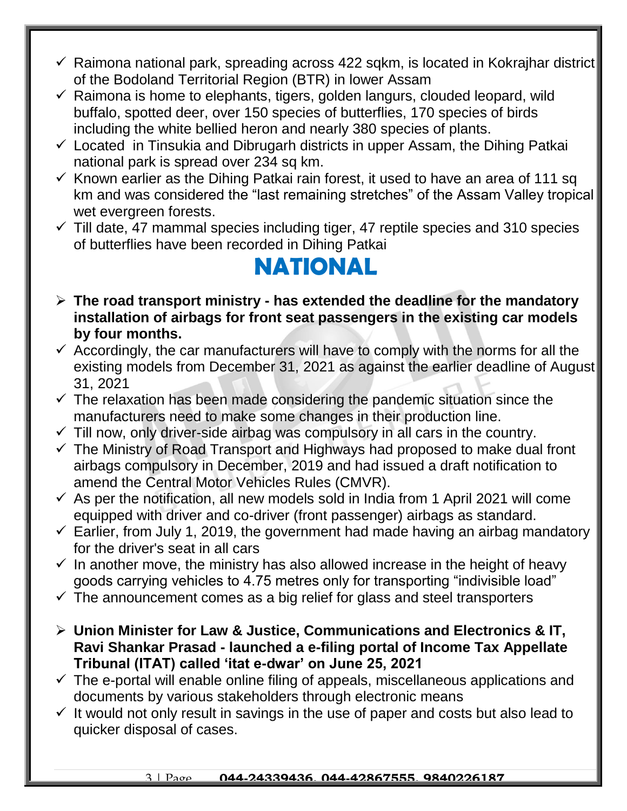- $\checkmark$  Raimona national park, spreading across 422 sqkm, is located in Kokrajhar district of the Bodoland Territorial Region (BTR) in lower Assam
- $\checkmark$  Raimona is home to elephants, tigers, golden langurs, clouded leopard, wild buffalo, spotted deer, over 150 species of butterflies, 170 species of birds including the white bellied heron and nearly 380 species of plants.
- $\checkmark$  Located in Tinsukia and Dibrugarh districts in upper Assam, the Dihing Patkai national park is spread over 234 sq km.
- $\checkmark$  Known earlier as the Dihing Patkai rain forest, it used to have an area of 111 sq km and was considered the "last remaining stretches" of the Assam Valley tropical wet evergreen forests.
- $\checkmark$  Till date, 47 mammal species including tiger, 47 reptile species and 310 species of butterflies have been recorded in Dihing Patkai

### **NATIONAL**

- **The road transport ministry - has extended the deadline for the mandatory installation of airbags for front seat passengers in the existing car models by four months.**
- $\checkmark$  Accordingly, the car manufacturers will have to comply with the norms for all the existing models from December 31, 2021 as against the earlier deadline of August 31, 2021
- $\checkmark$  The relaxation has been made considering the pandemic situation since the manufacturers need to make some changes in their production line.
- $\checkmark$  Till now, only driver-side airbag was compulsory in all cars in the country.
- $\checkmark$  The Ministry of Road Transport and Highways had proposed to make dual front airbags compulsory in December, 2019 and had issued a draft notification to amend the Central Motor Vehicles Rules (CMVR).
- $\checkmark$  As per the notification, all new models sold in India from 1 April 2021 will come equipped with driver and co-driver (front passenger) airbags as standard.
- $\checkmark$  Earlier, from July 1, 2019, the government had made having an airbag mandatory for the driver's seat in all cars
- $\checkmark$  In another move, the ministry has also allowed increase in the height of heavy goods carrying vehicles to 4.75 metres only for transporting "indivisible load"
- $\checkmark$  The announcement comes as a big relief for glass and steel transporters
- **Union Minister for Law & Justice, Communications and Electronics & IT, Ravi Shankar Prasad - launched a e-filing portal of Income Tax Appellate Tribunal (ITAT) called 'itat e-dwar' on June 25, 2021**
- $\checkmark$  The e-portal will enable online filing of appeals, miscellaneous applications and documents by various stakeholders through electronic means
- $\checkmark$  It would not only result in savings in the use of paper and costs but also lead to quicker disposal of cases.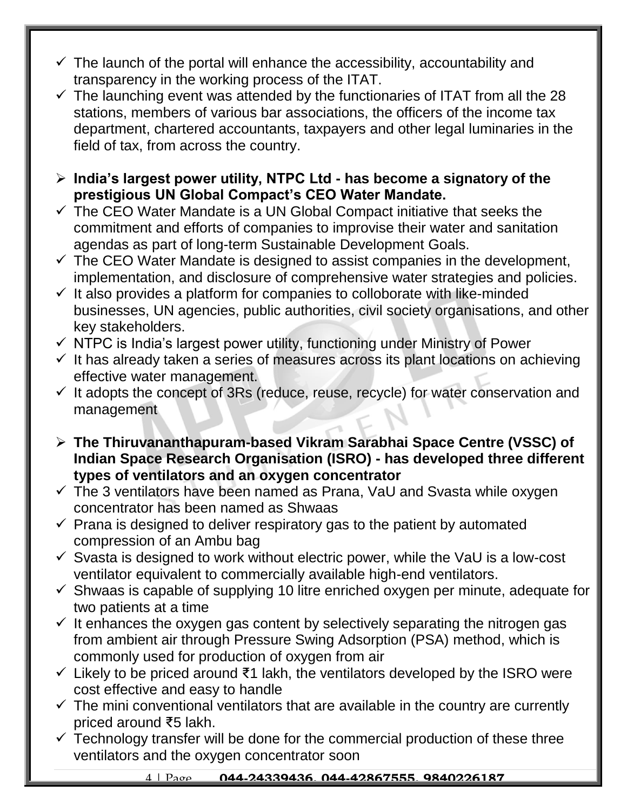- $\checkmark$  The launch of the portal will enhance the accessibility, accountability and transparency in the working process of the ITAT.
- $\checkmark$  The launching event was attended by the functionaries of ITAT from all the 28 stations, members of various bar associations, the officers of the income tax department, chartered accountants, taxpayers and other legal luminaries in the field of tax, from across the country.
- **India's largest power utility, NTPC Ltd - has become a signatory of the prestigious UN Global Compact's CEO Water Mandate.**
- $\checkmark$  The CEO Water Mandate is a UN Global Compact initiative that seeks the commitment and efforts of companies to improvise their water and sanitation agendas as part of long-term Sustainable Development Goals.
- $\checkmark$  The CEO Water Mandate is designed to assist companies in the development, implementation, and disclosure of comprehensive water strategies and policies.
- $\checkmark$  It also provides a platform for companies to colloborate with like-minded businesses, UN agencies, public authorities, civil society organisations, and other key stakeholders.
- $\checkmark$  NTPC is India's largest power utility, functioning under Ministry of Power
- $\checkmark$  It has already taken a series of measures across its plant locations on achieving effective water management.
- $\checkmark$  It adopts the concept of 3Rs (reduce, reuse, recycle) for water conservation and management
- **The Thiruvananthapuram-based Vikram Sarabhai Space Centre (VSSC) of Indian Space Research Organisation (ISRO) - has developed three different types of ventilators and an oxygen concentrator**
- $\checkmark$  The 3 ventilators have been named as Prana, VaU and Svasta while oxygen concentrator has been named as Shwaas
- $\checkmark$  Prana is designed to deliver respiratory gas to the patient by automated compression of an Ambu bag
- $\checkmark$  Svasta is designed to work without electric power, while the VaU is a low-cost ventilator equivalent to commercially available high-end ventilators.
- $\checkmark$  Shwaas is capable of supplying 10 litre enriched oxygen per minute, adequate for two patients at a time
- $\checkmark$  It enhances the oxygen gas content by selectively separating the nitrogen gas from ambient air through Pressure Swing Adsorption (PSA) method, which is commonly used for production of oxygen from air
- Likely to be priced around ₹1 lakh, the ventilators developed by the ISRO were cost effective and easy to handle
- $\checkmark$  The mini conventional ventilators that are available in the country are currently priced around ₹5 lakh.
- $\checkmark$  Technology transfer will be done for the commercial production of these three ventilators and the oxygen concentrator soon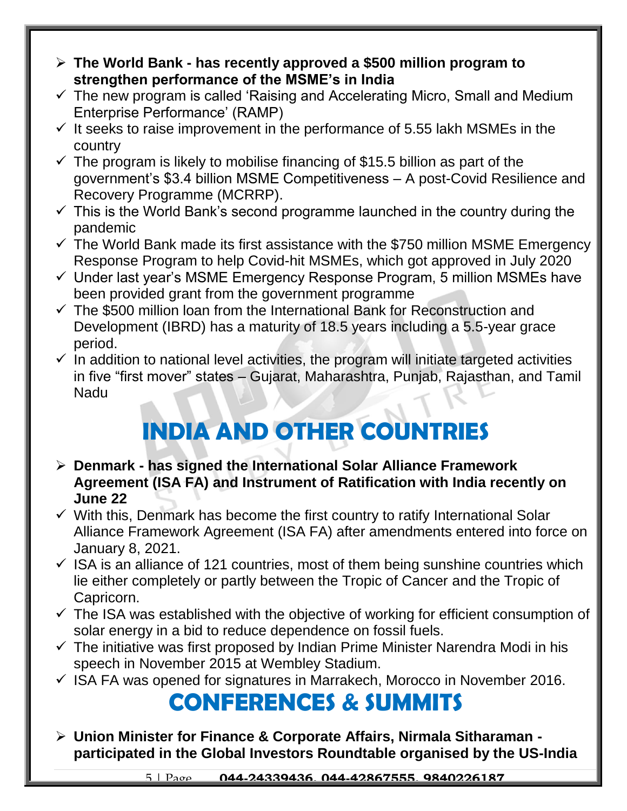- **The World Bank - has recently approved a \$500 million program to strengthen performance of the MSME's in India**
- $\checkmark$  The new program is called 'Raising and Accelerating Micro, Small and Medium Enterprise Performance' (RAMP)
- $\checkmark$  It seeks to raise improvement in the performance of 5.55 lakh MSMEs in the country
- $\checkmark$  The program is likely to mobilise financing of \$15.5 billion as part of the government's \$3.4 billion MSME Competitiveness – A post-Covid Resilience and Recovery Programme (MCRRP).
- $\checkmark$  This is the World Bank's second programme launched in the country during the pandemic
- $\checkmark$  The World Bank made its first assistance with the \$750 million MSME Emergency Response Program to help Covid-hit MSMEs, which got approved in July 2020
- $\checkmark$  Under last year's MSME Emergency Response Program, 5 million MSMEs have been provided grant from the government programme
- $\checkmark$  The \$500 million loan from the International Bank for Reconstruction and Development (IBRD) has a maturity of 18.5 years including a 5.5-year grace period.
- $\checkmark$  In addition to national level activities, the program will initiate targeted activities in five "first mover" states – Gujarat, Maharashtra, Punjab, Rajasthan, and Tamil Nadu

# **INDIA AND OTHER COUNTRIES**

- **Denmark - has signed the International Solar Alliance Framework Agreement (ISA FA) and Instrument of Ratification with India recently on June 22**
- $\checkmark$  With this, Denmark has become the first country to ratify International Solar Alliance Framework Agreement (ISA FA) after amendments entered into force on January 8, 2021.
- $\checkmark$  ISA is an alliance of 121 countries, most of them being sunshine countries which lie either completely or partly between the Tropic of Cancer and the Tropic of Capricorn.
- $\checkmark$  The ISA was established with the objective of working for efficient consumption of solar energy in a bid to reduce dependence on fossil fuels.
- $\checkmark$  The initiative was first proposed by Indian Prime Minister Narendra Modi in his speech in November 2015 at Wembley Stadium.
- $\checkmark$  ISA FA was opened for signatures in Marrakech, Morocco in November 2016.

### **CONFERENCES & SUMMITS**

 **Union Minister for Finance & Corporate Affairs, Nirmala Sitharaman participated in the Global Investors Roundtable organised by the US-India**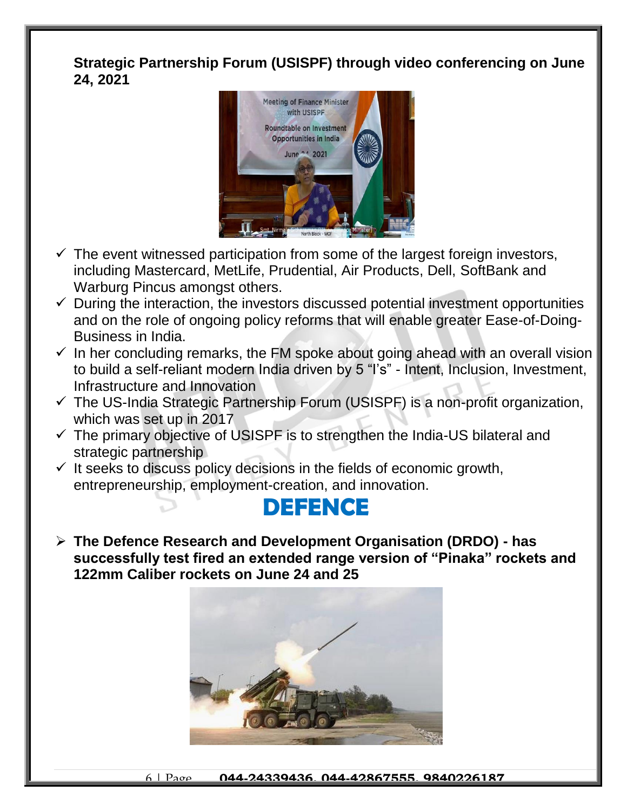**Strategic Partnership Forum (USISPF) through video conferencing on June 24, 2021**



- $\checkmark$  The event witnessed participation from some of the largest foreign investors, including Mastercard, MetLife, Prudential, Air Products, Dell, SoftBank and Warburg Pincus amongst others.
- $\checkmark$  During the interaction, the investors discussed potential investment opportunities and on the role of ongoing policy reforms that will enable greater Ease-of-Doing-Business in India.
- $\checkmark$  In her concluding remarks, the FM spoke about going ahead with an overall vision to build a self-reliant modern India driven by 5 "I's" - Intent, Inclusion, Investment, Infrastructure and Innovation
- $\checkmark$  The US-India Strategic Partnership Forum (USISPF) is a non-profit organization, which was set up in 2017
- $\checkmark$  The primary objective of USISPF is to strengthen the India-US bilateral and strategic partnership
- $\checkmark$  It seeks to discuss policy decisions in the fields of economic growth, entrepreneurship, employment-creation, and innovation.

#### **DEFENCE**

 **The Defence Research and Development Organisation (DRDO) - has successfully test fired an extended range version of "Pinaka" rockets and 122mm Caliber rockets on June 24 and 25**

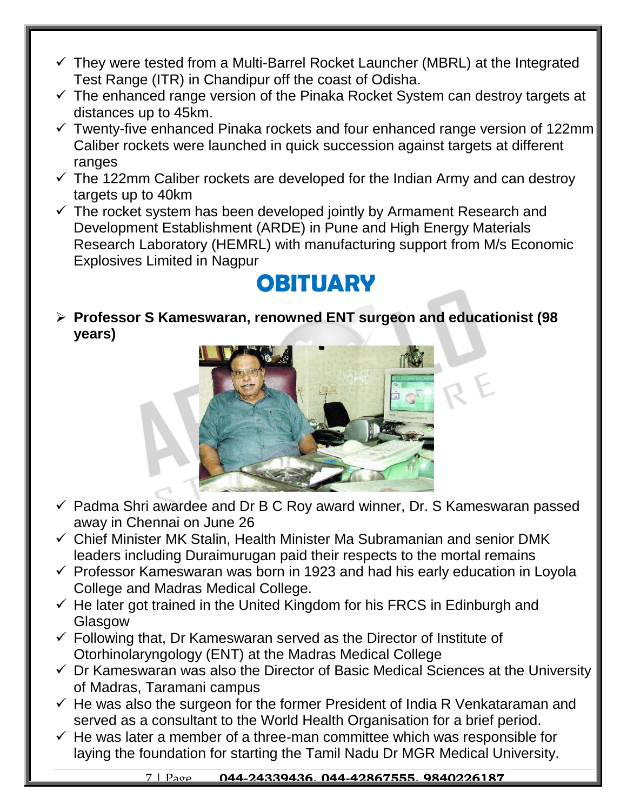- $\checkmark$  They were tested from a Multi-Barrel Rocket Launcher (MBRL) at the Integrated Test Range (ITR) in Chandipur off the coast of Odisha.
- $\checkmark$  The enhanced range version of the Pinaka Rocket System can destroy targets at distances up to 45km.
- $\checkmark$  Twenty-five enhanced Pinaka rockets and four enhanced range version of 122mm Caliber rockets were launched in quick succession against targets at different ranges
- $\checkmark$  The 122mm Caliber rockets are developed for the Indian Army and can destroy targets up to 40km
- $\checkmark$  The rocket system has been developed jointly by Armament Research and Development Establishment (ARDE) in Pune and High Energy Materials Research Laboratory (HEMRL) with manufacturing support from M/s Economic Explosives Limited in Nagpur

### **OBITUARY**

 **Professor S Kameswaran, renowned ENT surgeon and educationist (98 years)**



- $\checkmark$  Padma Shri awardee and Dr B C Roy award winner, Dr. S Kameswaran passed away in Chennai on June 26
- $\checkmark$  Chief Minister MK Stalin, Health Minister Ma Subramanian and senior DMK leaders including Duraimurugan paid their respects to the mortal remains
- $\checkmark$  Professor Kameswaran was born in 1923 and had his early education in Loyola College and Madras Medical College.
- $\checkmark$  He later got trained in the United Kingdom for his FRCS in Edinburgh and **Glasgow**
- $\checkmark$  Following that, Dr Kameswaran served as the Director of Institute of Otorhinolaryngology (ENT) at the Madras Medical College
- $\checkmark$  Dr Kameswaran was also the Director of Basic Medical Sciences at the University of Madras, Taramani campus
- $\checkmark$  He was also the surgeon for the former President of India R Venkataraman and served as a consultant to the World Health Organisation for a brief period.
- $\checkmark$  He was later a member of a three-man committee which was responsible for laying the foundation for starting the Tamil Nadu Dr MGR Medical University.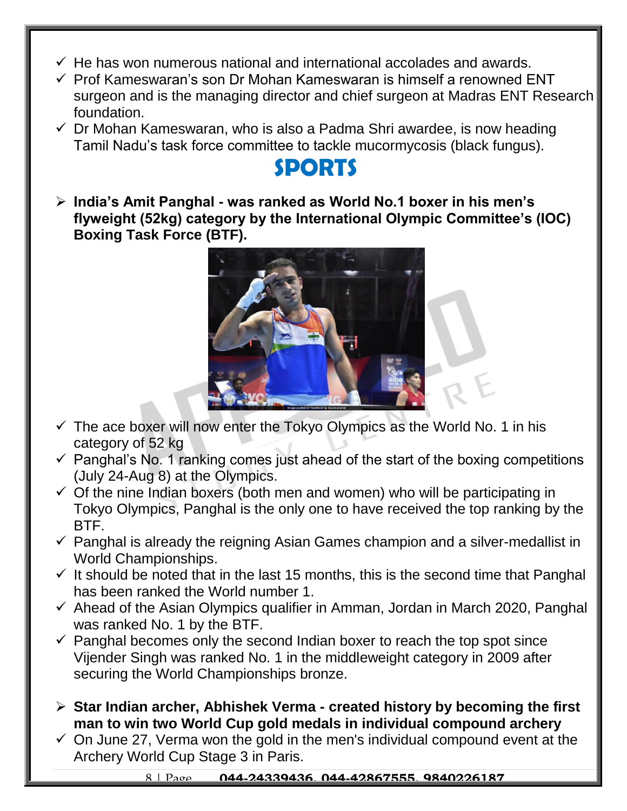- $\checkmark$  He has won numerous national and international accolades and awards.
- $\checkmark$  Prof Kameswaran's son Dr Mohan Kameswaran is himself a renowned ENT surgeon and is the managing director and chief surgeon at Madras ENT Research foundation.
- $\checkmark$  Dr Mohan Kameswaran, who is also a Padma Shri awardee, is now heading Tamil Nadu's task force committee to tackle mucormycosis (black fungus).

### **SPORTS**

 **India's Amit Panghal - was ranked as World No.1 boxer in his men's flyweight (52kg) category by the International Olympic Committee's (IOC) Boxing Task Force (BTF).**



- $\checkmark$  The ace boxer will now enter the Tokyo Olympics as the World No. 1 in his category of 52 kg
- $\checkmark$  Panghal's No. 1 ranking comes just ahead of the start of the boxing competitions (July 24-Aug 8) at the Olympics.
- $\checkmark$  Of the nine Indian boxers (both men and women) who will be participating in Tokyo Olympics, Panghal is the only one to have received the top ranking by the BTF.
- $\checkmark$  Panghal is already the reigning Asian Games champion and a silver-medallist in World Championships.
- $\checkmark$  It should be noted that in the last 15 months, this is the second time that Panghal has been ranked the World number 1.
- $\checkmark$  Ahead of the Asian Olympics qualifier in Amman, Jordan in March 2020, Panghal was ranked No. 1 by the BTF.
- $\checkmark$  Panghal becomes only the second Indian boxer to reach the top spot since Vijender Singh was ranked No. 1 in the middleweight category in 2009 after securing the World Championships bronze.
- **Star Indian archer, Abhishek Verma - created history by becoming the first man to win two World Cup gold medals in individual compound archery**
- $\checkmark$  On June 27, Verma won the gold in the men's individual compound event at the Archery World Cup Stage 3 in Paris.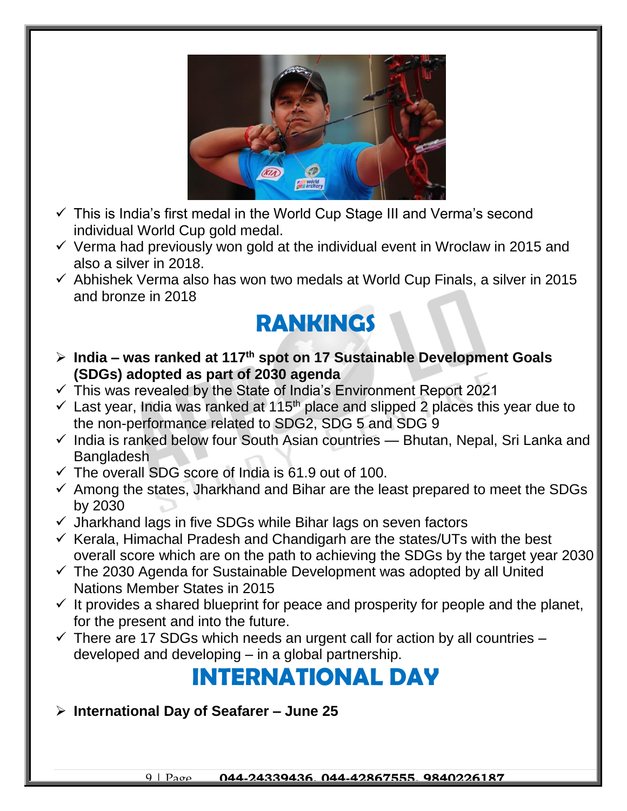

- $\checkmark$  This is India's first medal in the World Cup Stage III and Verma's second individual World Cup gold medal.
- $\checkmark$  Verma had previously won gold at the individual event in Wroclaw in 2015 and also a silver in 2018.
- $\checkmark$  Abhishek Verma also has won two medals at World Cup Finals, a silver in 2015 and bronze in 2018

### **RANKINGS**

- **India – was ranked at 117th spot on 17 Sustainable Development Goals (SDGs) adopted as part of 2030 agenda**
- $\checkmark$  This was revealed by the State of India's Environment Report 2021
- $\checkmark$  Last year, India was ranked at 115<sup>th</sup> place and slipped 2 places this year due to the non-performance related to SDG2, SDG 5 and SDG 9
- $\checkmark$  India is ranked below four South Asian countries Bhutan, Nepal, Sri Lanka and Bangladesh
- $\checkmark$  The overall SDG score of India is 61.9 out of 100.
- $\checkmark$  Among the states, Jharkhand and Bihar are the least prepared to meet the SDGs by 2030
- $\checkmark$  Jharkhand lags in five SDGs while Bihar lags on seven factors
- $\checkmark$  Kerala, Himachal Pradesh and Chandigarh are the states/UTs with the best overall score which are on the path to achieving the SDGs by the target year 2030
- $\checkmark$  The 2030 Agenda for Sustainable Development was adopted by all United Nations Member States in 2015
- $\checkmark$  It provides a shared blueprint for peace and prosperity for people and the planet, for the present and into the future.
- $\checkmark$  There are 17 SDGs which needs an urgent call for action by all countries developed and developing – in a global partnership.

## **INTERNATIONAL DAY**

#### **International Day of Seafarer – June 25**